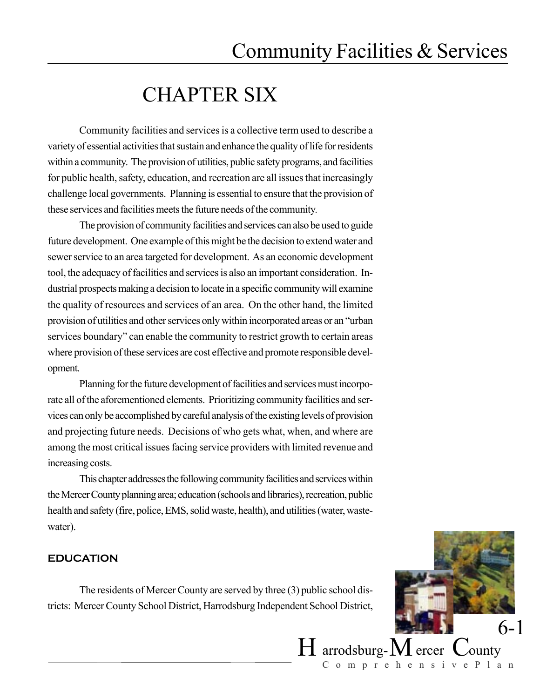# CHAPTER SIX

Community facilities and services is a collective term used to describe a variety of essential activities that sustain and enhance the quality of life for residents within a community. The provision of utilities, public safety programs, and facilities for public health, safety, education, and recreation are all issues that increasingly challenge local governments. Planning is essential to ensure that the provision of these services and facilities meets the future needs of the community.

The provision of community facilities and services can also be used to guide future development. One example of this might be the decision to extend water and sewer service to an area targeted for development. As an economic development tool, the adequacy of facilities and services is also an important consideration. Industrial prospects making a decision to locate in a specific community will examine the quality of resources and services of an area. On the other hand, the limited provision of utilities and other services only within incorporated areas or an "urban services boundary" can enable the community to restrict growth to certain areas where provision of these services are cost effective and promote responsible development.

Planning for the future development of facilities and services must incorporate all of the aforementioned elements. Prioritizing community facilities and services can only be accomplished by careful analysis of the existing levels of provision and projecting future needs. Decisions of who gets what, when, and where are among the most critical issues facing service providers with limited revenue and increasing costs.

This chapter addresses the following community facilities and services within the Mercer County planning area; education (schools and libraries), recreation, public health and safety (fire, police, EMS, solid waste, health), and utilities (water, wastewater).

### **EDUCATION**

The residents of Mercer County are served by three (3) public school districts: Mercer County School District, Harrodsburg Independent School District,

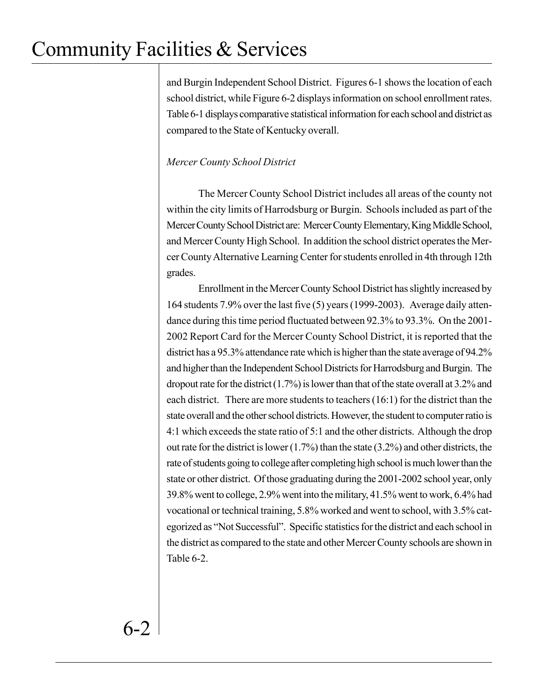and Burgin Independent School District. Figures 6-1 shows the location of each school district, while Figure 6-2 displays information on school enrollment rates. Table 6-1 displays comparative statistical information for each school and district as compared to the State of Kentucky overall.

## *Mercer County School District*

The Mercer County School District includes all areas of the county not within the city limits of Harrodsburg or Burgin. Schools included as part of the Mercer County School District are: Mercer County Elementary, King Middle School, and Mercer County High School. In addition the school district operates the Mercer County Alternative Learning Center for students enrolled in 4th through 12th grades.

Enrollment in the Mercer County School District has slightly increased by 164 students 7.9% over the last five (5) years (1999-2003). Average daily attendance during this time period fluctuated between 92.3% to 93.3%. On the 2001- 2002 Report Card for the Mercer County School District, it is reported that the district has a 95.3% attendance rate which is higher than the state average of 94.2% and higher than the Independent School Districts for Harrodsburg and Burgin. The dropout rate for the district (1.7%) is lower than that of the state overall at 3.2% and each district. There are more students to teachers (16:1) for the district than the state overall and the other school districts. However, the student to computer ratio is 4:1 which exceeds the state ratio of 5:1 and the other districts. Although the drop out rate for the district is lower (1.7%) than the state (3.2%) and other districts, the rate of students going to college after completing high school is much lower than the state or other district. Of those graduating during the 2001-2002 school year, only 39.8% went to college, 2.9% went into the military, 41.5% went to work, 6.4% had vocational or technical training, 5.8% worked and went to school, with 3.5% categorized as "Not Successful". Specific statistics for the district and each school in the district as compared to the state and other Mercer County schools are shown in Table 6-2.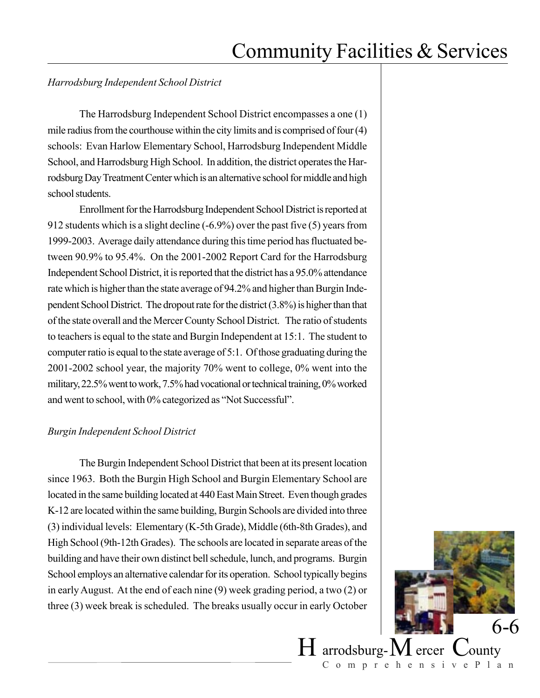## *Harrodsburg Independent School District*

The Harrodsburg Independent School District encompasses a one (1) mile radius from the courthouse within the city limits and is comprised of four (4) schools: Evan Harlow Elementary School, Harrodsburg Independent Middle School, and Harrodsburg High School. In addition, the district operates the Harrodsburg Day Treatment Center which is an alternative school for middle and high school students.

Enrollment for the Harrodsburg Independent School District is reported at 912 students which is a slight decline (-6.9%) over the past five (5) years from 1999-2003. Average daily attendance during this time period has fluctuated between 90.9% to 95.4%. On the 2001-2002 Report Card for the Harrodsburg Independent School District, it is reported that the district has a 95.0% attendance rate which is higher than the state average of 94.2% and higher than Burgin Independent School District. The dropout rate for the district (3.8%) is higher than that of the state overall and the Mercer County School District. The ratio of students to teachers is equal to the state and Burgin Independent at 15:1. The student to computer ratio is equal to the state average of 5:1. Of those graduating during the 2001-2002 school year, the majority 70% went to college, 0% went into the military, 22.5% went to work, 7.5% had vocational or technical training, 0% worked and went to school, with 0% categorized as "Not Successful".

### *Burgin Independent School District*

The Burgin Independent School District that been at its present location since 1963. Both the Burgin High School and Burgin Elementary School are located in the same building located at 440 East Main Street. Even though grades K-12 are located within the same building, Burgin Schools are divided into three (3) individual levels: Elementary (K-5th Grade), Middle (6th-8th Grades), and High School (9th-12th Grades). The schools are located in separate areas of the building and have their own distinct bell schedule, lunch, and programs. Burgin School employs an alternative calendar for its operation. School typically begins in early August. At the end of each nine (9) week grading period, a two (2) or three (3) week break is scheduled. The breaks usually occur in early October

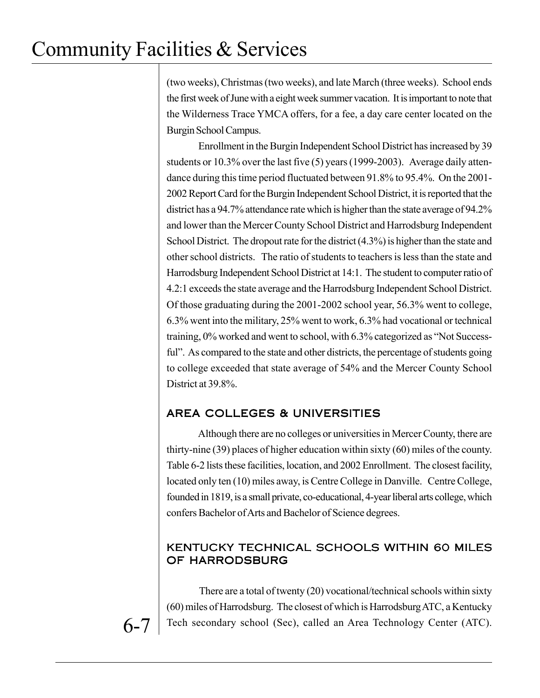(two weeks), Christmas (two weeks), and late March (three weeks). School ends the first week of June with a eight week summer vacation. It is important to note that the Wilderness Trace YMCA offers, for a fee, a day care center located on the Burgin School Campus.

Enrollment in the Burgin Independent School District has increased by 39 students or 10.3% over the last five (5) years (1999-2003). Average daily attendance during this time period fluctuated between 91.8% to 95.4%. On the 2001- 2002 Report Card for the Burgin Independent School District, it is reported that the district has a 94.7% attendance rate which is higher than the state average of 94.2% and lower than the Mercer County School District and Harrodsburg Independent School District. The dropout rate for the district (4.3%) is higher than the state and other school districts. The ratio of students to teachers is less than the state and Harrodsburg Independent School District at 14:1. The student to computer ratio of 4.2:1 exceeds the state average and the Harrodsburg Independent School District. Of those graduating during the 2001-2002 school year, 56.3% went to college, 6.3% went into the military, 25% went to work, 6.3% had vocational or technical training, 0% worked and went to school, with 6.3% categorized as "Not Successful". As compared to the state and other districts, the percentage of students going to college exceeded that state average of 54% and the Mercer County School District at 39.8%.

## AREA COLLEGES & UNIVERSITIES

Although there are no colleges or universities in Mercer County, there are thirty-nine (39) places of higher education within sixty (60) miles of the county. Table 6-2 lists these facilities, location, and 2002 Enrollment. The closest facility, located only ten (10) miles away, is Centre College in Danville. Centre College, founded in 1819, is a small private, co-educational, 4-year liberal arts college, which confers Bachelor of Arts and Bachelor of Science degrees.

## KENTUCKY TECHNICAL SCHOOLS WITHIN 60 MILES OF HARRODSBURG

There are a total of twenty (20) vocational/technical schools within sixty (60) miles of Harrodsburg. The closest of which is Harrodsburg ATC, a Kentucky Tech secondary school (Sec), called an Area Technology Center (ATC).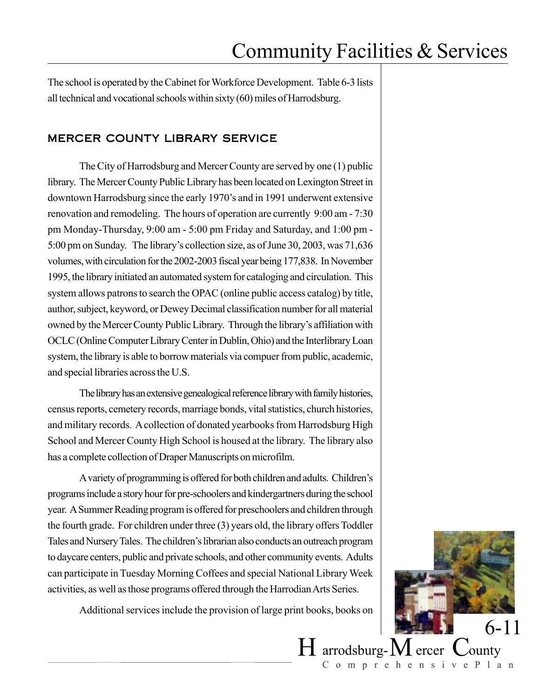The school is operated by the Cabinet for Workforce Development. Table 6-3 lists all technical and vocational schools within sixty (60) miles of Harrodsburg.

## MERCER COUNTY LIBRARY SERVICE

The City of Harrodsburg and Mercer County are served by one (1) public library. The Mercer County Public Library has been located on Lexington Street in downtown Harrodsburg since the early 1970's and in 1991 underwent extensive renovation and remodeling. The hours of operation are currently 9:00 am - 7:30 pm Monday-Thursday, 9:00 am - 5:00 pm Friday and Saturday, and 1:00 pm - 5:00 pm on Sunday. The library's collection size, as of June 30, 2003, was 71,636 volumes, with circulation for the 2002-2003 fiscal year being 177,838. In November 1995, the library initiated an automated system for cataloging and circulation. This system allows patrons to search the OPAC (online public access catalog) by title, author, subject, keyword, or Dewey Decimal classification number for all material owned by the Mercer County Public Library. Through the library's affiliation with OCLC (Online Computer Library Center in Dublin, Ohio) and the Interlibrary Loan system, the library is able to borrow materials via compuer from public, academic, and special libraries across the U.S.

The library has an extensive genealogical reference library with family histories, census reports, cemetery records, marriage bonds, vital statistics, church histories, and military records. A collection of donated yearbooks from Harrodsburg High School and Mercer County High School is housed at the library. The library also has a complete collection of Draper Manuscripts on microfilm.

A variety of programming is offered for both children and adults. Children's programs include a story hour for pre-schoolers and kindergartners during the school year. A Summer Reading program is offered for preschoolers and children through the fourth grade. For children under three (3) years old, the library offers Toddler Tales and Nursery Tales. The children's librarian also conducts an outreach program to daycare centers, public and private schools, and other community events. Adults can participate in Tuesday Morning Coffees and special National Library Week activities, as well as those programs offered through the Harrodian Arts Series.

Additional services include the provision of large print books, books on

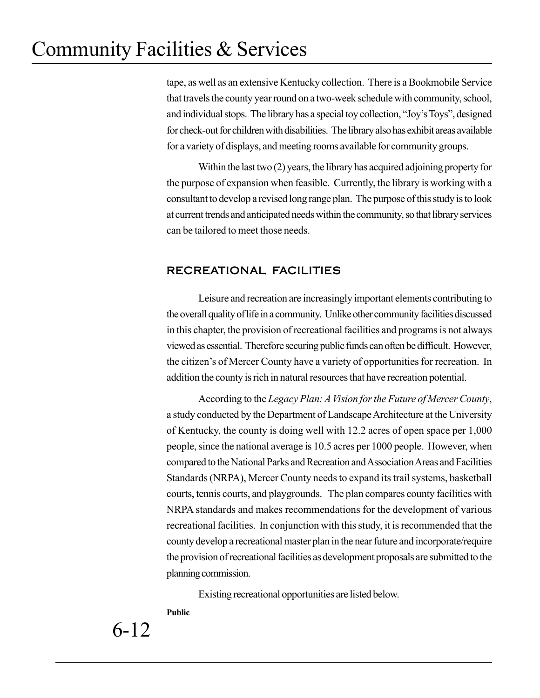tape, as well as an extensive Kentucky collection. There is a Bookmobile Service that travels the county year round on a two-week schedule with community, school, and individual stops. The library has a special toy collection, "Joy's Toys", designed for check-out for children with disabilities. The library also has exhibit areas available for a variety of displays, and meeting rooms available for community groups.

Within the last two (2) years, the library has acquired adjoining property for the purpose of expansion when feasible. Currently, the library is working with a consultant to develop a revised long range plan. The purpose of this study is to look at current trends and anticipated needs within the community, so that library services can be tailored to meet those needs.

## RECREATIONAL FACILITIES

Leisure and recreation are increasingly important elements contributing to the overall quality of life in a community. Unlike other community facilities discussed in this chapter, the provision of recreational facilities and programs is not always viewed as essential. Therefore securing public funds can often be difficult. However, the citizen's of Mercer County have a variety of opportunities for recreation. In addition the county is rich in natural resources that have recreation potential.

According to the *Legacy Plan: A Vision for the Future of Mercer County*, a study conducted by the Department of Landscape Architecture at the University of Kentucky, the county is doing well with 12.2 acres of open space per 1,000 people, since the national average is 10.5 acres per 1000 people. However, when compared to the National Parks and Recreation and Association Areas and Facilities Standards (NRPA), Mercer County needs to expand its trail systems, basketball courts, tennis courts, and playgrounds. The plan compares county facilities with NRPA standards and makes recommendations for the development of various recreational facilities. In conjunction with this study, it is recommended that the county develop a recreational master plan in the near future and incorporate/require the provision of recreational facilities as development proposals are submitted to the planning commission.

Existing recreational opportunities are listed below.

**Public**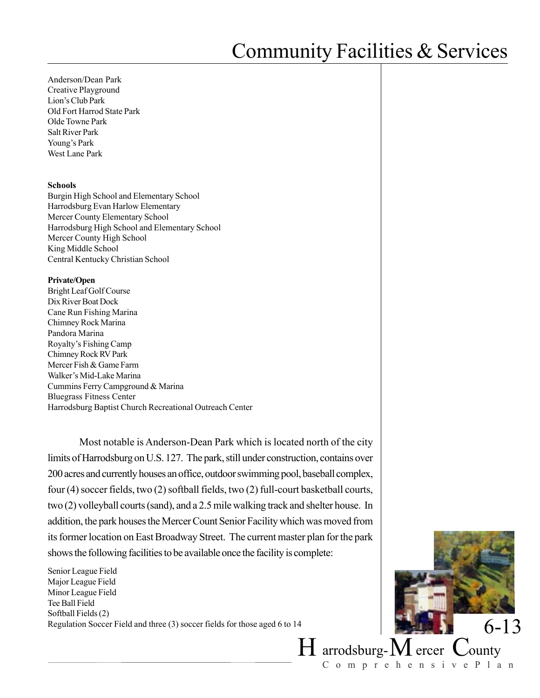Anderson/Dean Park Creative Playground Lion's Club Park Old Fort Harrod State Park Olde Towne Park Salt River Park Young's Park West Lane Park

#### **Schools**

Burgin High School and Elementary School Harrodsburg Evan Harlow Elementary Mercer County Elementary School Harrodsburg High School and Elementary School Mercer County High School King Middle School Central Kentucky Christian School

#### **Private/Open**

Bright Leaf Golf Course Dix River Boat Dock Cane Run Fishing Marina Chimney Rock Marina Pandora Marina Royalty's Fishing Camp Chimney Rock RV Park Mercer Fish & Game Farm Walker's Mid-Lake Marina Cummins Ferry Campground & Marina Bluegrass Fitness Center Harrodsburg Baptist Church Recreational Outreach Center

Most notable is Anderson-Dean Park which is located north of the city limits of Harrodsburg on U.S. 127. The park, still under construction, contains over 200 acres and currently houses an office, outdoor swimming pool, baseball complex, four (4) soccer fields, two (2) softball fields, two (2) full-court basketball courts, two (2) volleyball courts (sand), and a 2.5 mile walking track and shelter house. In addition, the park houses the Mercer Count Senior Facility which was moved from its former location on East Broadway Street. The current master plan for the park shows the following facilities to be available once the facility is complete:

Senior League Field Major League Field Minor League Field Tee Ball Field Softball Fields (2) Regulation Soccer Field and three (3) soccer fields for those aged 6 to 14

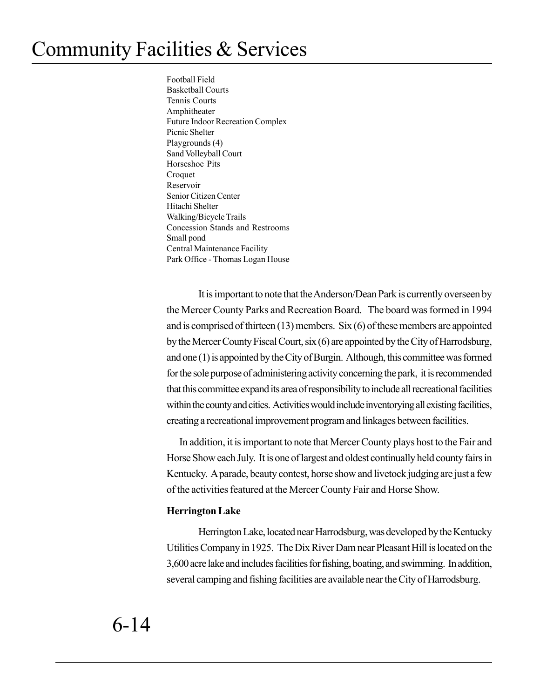Football Field Basketball Courts Tennis Courts Amphitheater Future Indoor Recreation Complex Picnic Shelter Playgrounds (4) Sand Volleyball Court Horseshoe Pits Croquet Reservoir Senior Citizen Center Hitachi Shelter Walking/Bicycle Trails Concession Stands and Restrooms Small pond Central Maintenance Facility Park Office - Thomas Logan House

It is important to note that the Anderson/Dean Park is currently overseen by the Mercer County Parks and Recreation Board. The board was formed in 1994 and is comprised of thirteen (13) members. Six (6) of these members are appointed by the Mercer County Fiscal Court, six (6) are appointed by the City of Harrodsburg, and one (1) is appointed by the City of Burgin. Although, this committee was formed for the sole purpose of administering activity concerning the park, it is recommended that this committee expand its area of responsibility to include all recreational facilities within the county and cities. Activities would include inventorying all existing facilities, creating a recreational improvement program and linkages between facilities.

In addition, it is important to note that Mercer County plays host to the Fair and Horse Show each July. It is one of largest and oldest continually held county fairs in Kentucky. A parade, beauty contest, horse show and livetock judging are just a few of the activities featured at the Mercer County Fair and Horse Show.

### **Herrington Lake**

Herrington Lake, located near Harrodsburg, was developed by the Kentucky Utilities Company in 1925. The Dix River Dam near Pleasant Hill is located on the 3,600 acre lake and includes facilities for fishing, boating, and swimming. In addition, several camping and fishing facilities are available near the City of Harrodsburg.

6-14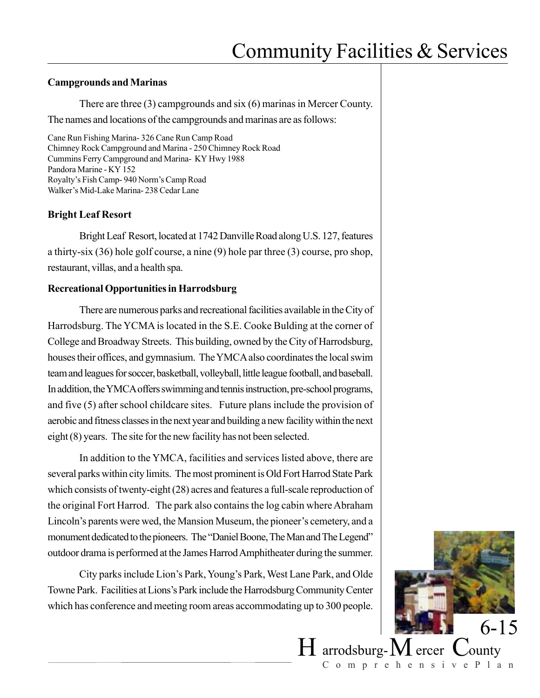#### **Campgrounds and Marinas**

There are three (3) campgrounds and six (6) marinas in Mercer County.

The names and locations of the campgrounds and marinas are as follows:

Cane Run Fishing Marina- 326 Cane Run Camp Road Chimney Rock Campground and Marina - 250 Chimney Rock Road Cummins Ferry Campground and Marina- KY Hwy 1988 Pandora Marine - KY 152 Royalty's Fish Camp- 940 Norm's Camp Road Walker's Mid-Lake Marina- 238 Cedar Lane

### **Bright Leaf Resort**

Bright Leaf Resort, located at 1742 Danville Road along U.S. 127, features a thirty-six (36) hole golf course, a nine (9) hole par three (3) course, pro shop, restaurant, villas, and a health spa.

### **Recreational Opportunities in Harrodsburg**

There are numerous parks and recreational facilities available in the City of Harrodsburg. The YCMA is located in the S.E. Cooke Bulding at the corner of College and Broadway Streets. This building, owned by the City of Harrodsburg, houses their offices, and gymnasium. The YMCA also coordinates the local swim team and leagues for soccer, basketball, volleyball, little league football, and baseball. In addition, the YMCA offers swimming and tennis instruction, pre-school programs, and five (5) after school childcare sites. Future plans include the provision of aerobic and fitness classes in the next year and building a new facility within the next eight (8) years. The site for the new facility has not been selected.

In addition to the YMCA, facilities and services listed above, there are several parks within city limits. The most prominent is Old Fort Harrod State Park which consists of twenty-eight (28) acres and features a full-scale reproduction of the original Fort Harrod. The park also contains the log cabin where Abraham Lincoln's parents were wed, the Mansion Museum, the pioneer's cemetery, and a monument dedicated to the pioneers. The "Daniel Boone, The Man and The Legend" outdoor drama is performed at the James Harrod Amphitheater during the summer.

City parks include Lion's Park, Young's Park, West Lane Park, and Olde Towne Park. Facilities at Lions's Park include the Harrodsburg Community Center which has conference and meeting room areas accommodating up to 300 people.

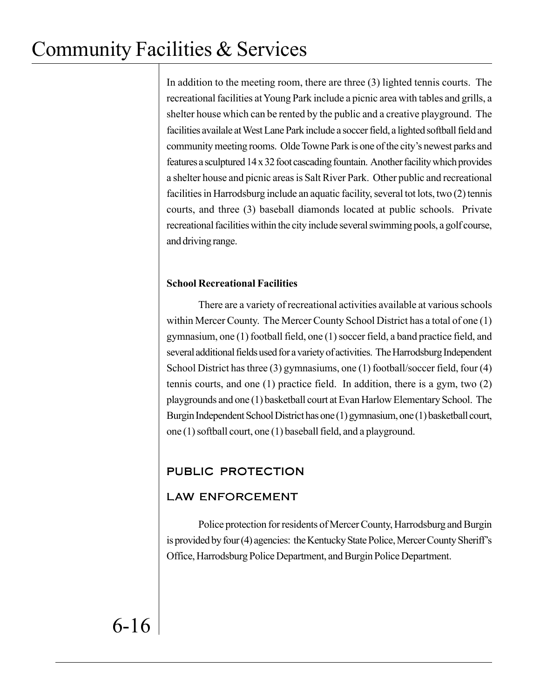In addition to the meeting room, there are three (3) lighted tennis courts. The recreational facilities at Young Park include a picnic area with tables and grills, a shelter house which can be rented by the public and a creative playground. The facilities availale at West Lane Park include a soccer field, a lighted softball field and community meeting rooms. Olde Towne Park is one of the city's newest parks and features a sculptured 14 x 32 foot cascading fountain. Another facility which provides a shelter house and picnic areas is Salt River Park. Other public and recreational facilities in Harrodsburg include an aquatic facility, several tot lots, two (2) tennis courts, and three (3) baseball diamonds located at public schools. Private recreational facilities within the city include several swimming pools, a golf course, and driving range.

## **School Recreational Facilities**

There are a variety of recreational activities available at various schools within Mercer County. The Mercer County School District has a total of one (1) gymnasium, one (1) football field, one (1) soccer field, a band practice field, and several additional fields used for a variety of activities. The Harrodsburg Independent School District has three (3) gymnasiums, one (1) football/soccer field, four (4) tennis courts, and one (1) practice field. In addition, there is a gym, two (2) playgrounds and one (1) basketball court at Evan Harlow Elementary School. The Burgin Independent School District has one (1) gymnasium, one (1) basketball court, one (1) softball court, one (1) baseball field, and a playground.

## PUBLIC PROTECTION

## LAW ENFORCEMENT

Police protection for residents of Mercer County, Harrodsburg and Burgin is provided by four (4) agencies: the Kentucky State Police, Mercer County Sheriff's Office, Harrodsburg Police Department, and Burgin Police Department.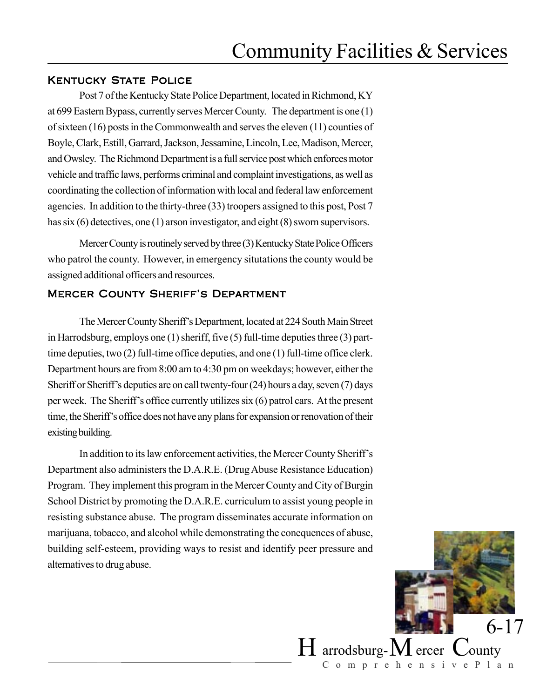### **KENTUCKY STATE POLICE**

Post 7 of the Kentucky State Police Department, located in Richmond, KY at 699 Eastern Bypass, currently serves Mercer County. The department is one (1) of sixteen (16) posts in the Commonwealth and serves the eleven (11) counties of Boyle, Clark, Estill, Garrard, Jackson, Jessamine, Lincoln, Lee, Madison, Mercer, and Owsley. The Richmond Department is a full service post which enforces motor vehicle and traffic laws, performs criminal and complaint investigations, as well as coordinating the collection of information with local and federal law enforcement agencies. In addition to the thirty-three (33) troopers assigned to this post, Post 7 has six (6) detectives, one (1) arson investigator, and eight (8) sworn supervisors.

Mercer County is routinely served by three (3) Kentucky State Police Officers who patrol the county. However, in emergency situtations the county would be assigned additional officers and resources.

### Mercer County Sheriff's Department

The Mercer County Sheriff's Department, located at 224 South Main Street in Harrodsburg, employs one (1) sheriff, five (5) full-time deputies three (3) parttime deputies, two (2) full-time office deputies, and one (1) full-time office clerk. Department hours are from 8:00 am to 4:30 pm on weekdays; however, either the Sheriff or Sheriff's deputies are on call twenty-four (24) hours a day, seven (7) days per week. The Sheriff's office currently utilizes six (6) patrol cars. At the present time, the Sheriff's office does not have any plans for expansion or renovation of their existing building.

In addition to its law enforcement activities, the Mercer County Sheriff's Department also administers the D.A.R.E. (Drug Abuse Resistance Education) Program. They implement this program in the Mercer County and City of Burgin School District by promoting the D.A.R.E. curriculum to assist young people in resisting substance abuse. The program disseminates accurate information on marijuana, tobacco, and alcohol while demonstrating the conequences of abuse, building self-esteem, providing ways to resist and identify peer pressure and alternatives to drug abuse.

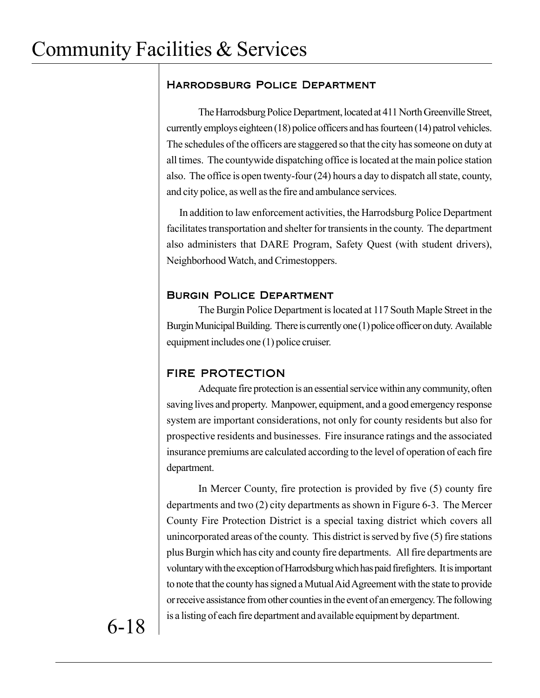## Harrodsburg Police Department

The Harrodsburg Police Department, located at 411 North Greenville Street, currently employs eighteen (18) police officers and has fourteen (14) patrol vehicles. The schedules of the officers are staggered so that the city has someone on duty at all times. The countywide dispatching office is located at the main police station also. The office is open twenty-four (24) hours a day to dispatch all state, county, and city police, as well as the fire and ambulance services.

In addition to law enforcement activities, the Harrodsburg Police Department facilitates transportation and shelter for transients in the county. The department also administers that DARE Program, Safety Quest (with student drivers), Neighborhood Watch, and Crimestoppers.

## Burgin Police Department

The Burgin Police Department is located at 117 South Maple Street in the Burgin Municipal Building. There is currently one (1) police officer on duty. Available equipment includes one (1) police cruiser.

## FIRE PROTECTION

Adequate fire protection is an essential service within any community, often saving lives and property. Manpower, equipment, and a good emergency response system are important considerations, not only for county residents but also for prospective residents and businesses. Fire insurance ratings and the associated insurance premiums are calculated according to the level of operation of each fire department.

In Mercer County, fire protection is provided by five (5) county fire departments and two (2) city departments as shown in Figure 6-3. The Mercer County Fire Protection District is a special taxing district which covers all unincorporated areas of the county. This district is served by five (5) fire stations plus Burgin which has city and county fire departments. All fire departments are voluntary with the exception of Harrodsburg which has paid firefighters. It is important to note that the county has signed a Mutual Aid Agreement with the state to provide or receive assistance from other counties in the event of an emergency. The following is a listing of each fire department and available equipment by department.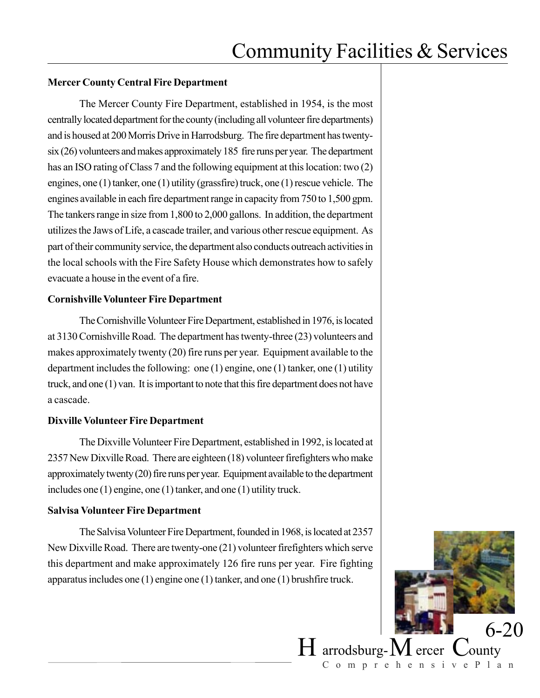### **Mercer County Central Fire Department**

The Mercer County Fire Department, established in 1954, is the most centrally located department for the county (including all volunteer fire departments) and is housed at 200 Morris Drive in Harrodsburg. The fire department has twentysix (26) volunteers and makes approximately 185 fire runs per year. The department has an ISO rating of Class 7 and the following equipment at this location: two (2) engines, one (1) tanker, one (1) utility (grassfire) truck, one (1) rescue vehicle. The engines available in each fire department range in capacity from 750 to 1,500 gpm. The tankers range in size from 1,800 to 2,000 gallons. In addition, the department utilizes the Jaws of Life, a cascade trailer, and various other rescue equipment. As part of their community service, the department also conducts outreach activities in the local schools with the Fire Safety House which demonstrates how to safely evacuate a house in the event of a fire.

### **Cornishville Volunteer Fire Department**

The Cornishville Volunteer Fire Department, established in 1976, is located at 3130 Cornishville Road. The department has twenty-three (23) volunteers and makes approximately twenty (20) fire runs per year. Equipment available to the department includes the following: one (1) engine, one (1) tanker, one (1) utility truck, and one (1) van. It is important to note that this fire department does not have a cascade.

### **Dixville Volunteer Fire Department**

The Dixville Volunteer Fire Department, established in 1992, is located at 2357 New Dixville Road. There are eighteen (18) volunteer firefighters who make approximately twenty (20) fire runs per year. Equipment available to the department includes one (1) engine, one (1) tanker, and one (1) utility truck.

### **Salvisa Volunteer Fire Department**

The Salvisa Volunteer Fire Department, founded in 1968, is located at 2357 New Dixville Road. There are twenty-one (21) volunteer firefighters which serve this department and make approximately 126 fire runs per year. Fire fighting apparatus includes one (1) engine one (1) tanker, and one (1) brushfire truck.

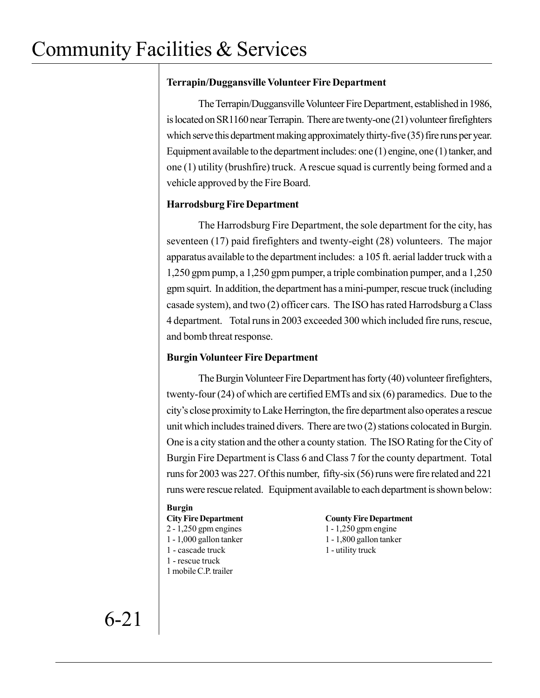## **Terrapin/Duggansville Volunteer Fire Department**

The Terrapin/Duggansville Volunteer Fire Department, established in 1986, is located on SR1160 near Terrapin. There are twenty-one (21) volunteer firefighters which serve this department making approximately thirty-five (35) fire runs per year. Equipment available to the department includes: one (1) engine, one (1) tanker, and one (1) utility (brushfire) truck. A rescue squad is currently being formed and a vehicle approved by the Fire Board.

## **Harrodsburg Fire Department**

The Harrodsburg Fire Department, the sole department for the city, has seventeen (17) paid firefighters and twenty-eight (28) volunteers. The major apparatus available to the department includes: a 105 ft. aerial ladder truck with a 1,250 gpm pump, a 1,250 gpm pumper, a triple combination pumper, and a 1,250 gpm squirt. In addition, the department has a mini-pumper, rescue truck (including casade system), and two (2) officer cars. The ISO has rated Harrodsburg a Class 4 department. Total runs in 2003 exceeded 300 which included fire runs, rescue, and bomb threat response.

## **Burgin Volunteer Fire Department**

The Burgin Volunteer Fire Department has forty (40) volunteer firefighters, twenty-four (24) of which are certified EMTs and six (6) paramedics. Due to the city's close proximity to Lake Herrington, the fire department also operates a rescue unit which includes trained divers. There are two (2) stations colocated in Burgin. One is a city station and the other a county station. The ISO Rating for the City of Burgin Fire Department is Class 6 and Class 7 for the county department. Total runs for 2003 was 227. Of this number, fifty-six (56) runs were fire related and 221 runs were rescue related. Equipment available to each department is shown below:

### **Burgin**

- 
- 
- 1 cascade truck 1 utility truck
- 1 rescue truck
- 1 mobile C.P. trailer

#### **City Fire Department County Fire Department**

2 - 1,250 gpm engines 1 - 1,250 gpm engine 1 - 1,000 gallon tanker 1 - 1,800 gallon tanker

6-21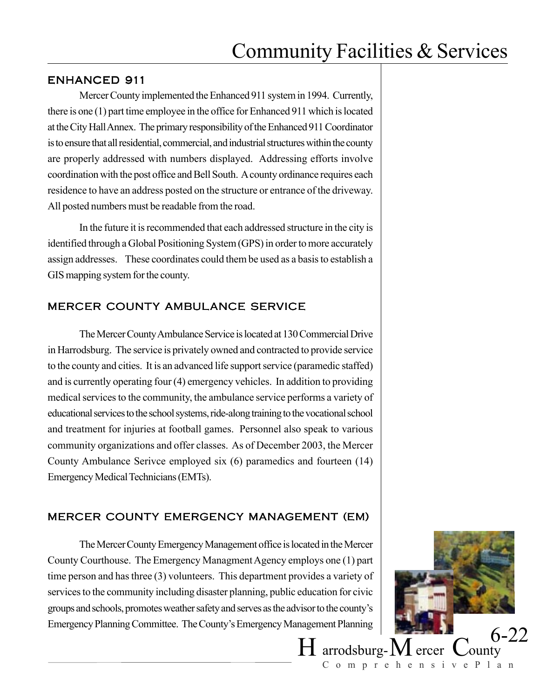## ENHANCED 911

Mercer County implemented the Enhanced 911 system in 1994. Currently, there is one (1) part time employee in the office for Enhanced 911 which is located at the City Hall Annex. The primary responsibility of the Enhanced 911 Coordinator is to ensure that all residential, commercial, and industrial structures within the county are properly addressed with numbers displayed. Addressing efforts involve coordination with the post office and Bell South. A county ordinance requires each residence to have an address posted on the structure or entrance of the driveway. All posted numbers must be readable from the road.

In the future it is recommended that each addressed structure in the city is identified through a Global Positioning System (GPS) in order to more accurately assign addresses. These coordinates could them be used as a basis to establish a GIS mapping system for the county.

## MERCER COUNTY AMBULANCE SERVICE

The Mercer County Ambulance Service is located at 130 Commercial Drive in Harrodsburg. The service is privately owned and contracted to provide service to the county and cities. It is an advanced life support service (paramedic staffed) and is currently operating four (4) emergency vehicles. In addition to providing medical services to the community, the ambulance service performs a variety of educational services to the school systems, ride-along training to the vocational school and treatment for injuries at football games. Personnel also speak to various community organizations and offer classes. As of December 2003, the Mercer County Ambulance Serivce employed six (6) paramedics and fourteen (14) Emergency Medical Technicians (EMTs).

## MERCER COUNTY EMERGENCY MANAGEMENT (EM)

The Mercer County Emergency Management office is located in the Mercer County Courthouse. The Emergency Managment Agency employs one (1) part time person and has three (3) volunteers. This department provides a variety of services to the community including disaster planning, public education for civic groups and schools, promotes weather safety and serves as the advisor to the county's Emergency Planning Committee. The County's Emergency Management Planning

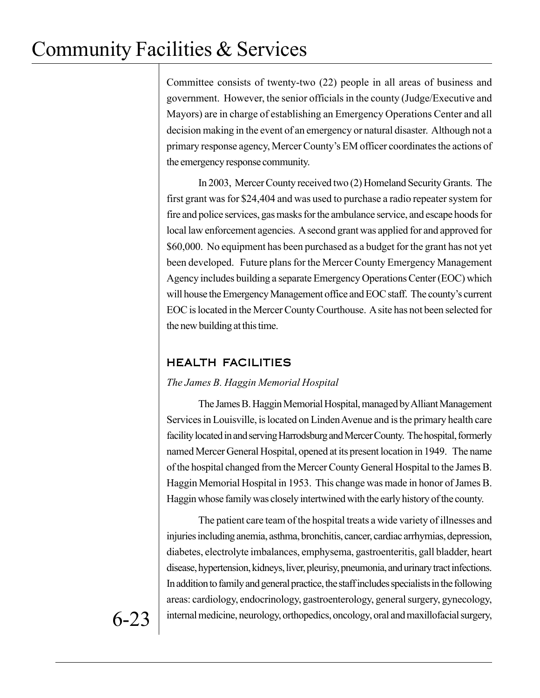Committee consists of twenty-two (22) people in all areas of business and government. However, the senior officials in the county (Judge/Executive and Mayors) are in charge of establishing an Emergency Operations Center and all decision making in the event of an emergency or natural disaster. Although not a primary response agency, Mercer County's EM officer coordinates the actions of the emergency response community.

In 2003, Mercer County received two (2) Homeland Security Grants. The first grant was for \$24,404 and was used to purchase a radio repeater system for fire and police services, gas masks for the ambulance service, and escape hoods for local law enforcement agencies. A second grant was applied for and approved for \$60,000. No equipment has been purchased as a budget for the grant has not yet been developed. Future plans for the Mercer County Emergency Management Agency includes building a separate Emergency Operations Center (EOC) which will house the Emergency Management office and EOC staff. The county's current EOC is located in the Mercer County Courthouse. A site has not been selected for the new building at this time.

## HEALTH FACILITIES

### *The James B. Haggin Memorial Hospital*

The James B. Haggin Memorial Hospital, managed by Alliant Management Services in Louisville, is located on Linden Avenue and is the primary health care facility located in and serving Harrodsburg and Mercer County. The hospital, formerly named Mercer General Hospital, opened at its present location in 1949. The name of the hospital changed from the Mercer County General Hospital to the James B. Haggin Memorial Hospital in 1953. This change was made in honor of James B. Haggin whose family was closely intertwined with the early history of the county.

The patient care team of the hospital treats a wide variety of illnesses and injuries including anemia, asthma, bronchitis, cancer, cardiac arrhymias, depression, diabetes, electrolyte imbalances, emphysema, gastroenteritis, gall bladder, heart disease, hypertension, kidneys, liver, pleurisy, pneumonia, and urinary tract infections. In addition to family and general practice, the staff includes specialists in the following areas: cardiology, endocrinology, gastroenterology, general surgery, gynecology, internal medicine, neurology, orthopedics, oncology, oral and maxillofacial surgery,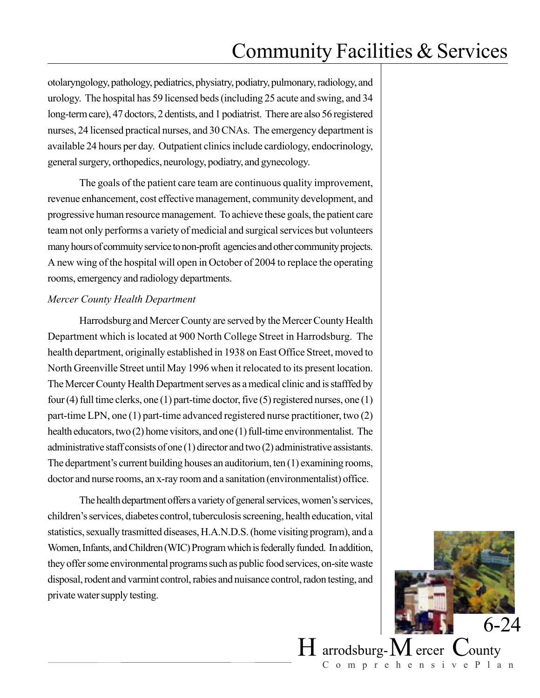otolaryngology, pathology, pediatrics, physiatry, podiatry, pulmonary, radiology, and urology. The hospital has 59 licensed beds (including 25 acute and swing, and 34 long-term care), 47 doctors, 2 dentists, and 1 podiatrist. There are also 56 registered nurses, 24 licensed practical nurses, and 30 CNAs. The emergency department is available 24 hours per day. Outpatient clinics include cardiology, endocrinology, general surgery, orthopedics, neurology, podiatry, and gynecology.

The goals of the patient care team are continuous quality improvement, revenue enhancement, cost effective management, community development, and progressive human resource management. To achieve these goals, the patient care team not only performs a variety of medicial and surgical services but volunteers many hours of commuity service to non-profit agencies and other community projects. A new wing of the hospital will open in October of 2004 to replace the operating rooms, emergency and radiology departments.

#### *Mercer County Health Department*

Harrodsburg and Mercer County are served by the Mercer County Health Department which is located at 900 North College Street in Harrodsburg. The health department, originally established in 1938 on East Office Street, moved to North Greenville Street until May 1996 when it relocated to its present location. The Mercer County Health Department serves as a medical clinic and is stafffed by four (4) full time clerks, one (1) part-time doctor, five (5) registered nurses, one (1) part-time LPN, one (1) part-time advanced registered nurse practitioner, two (2) health educators, two (2) home visitors, and one (1) full-time environmentalist. The administrative staff consists of one (1) director and two (2) administrative assistants. The department's current building houses an auditorium, ten (1) examining rooms, doctor and nurse rooms, an x-ray room and a sanitation (environmentalist) office.

The health department offers a variety of general services, women's services, children's services, diabetes control, tuberculosis screening, health education, vital statistics, sexually trasmitted diseases, H.A.N.D.S. (home visiting program), and a Women, Infants, and Children (WIC) Program which is federally funded. In addition, they offer some environmental programs such as public food services, on-site waste disposal, rodent and varmint control, rabies and nuisance control, radon testing, and private water supply testing.

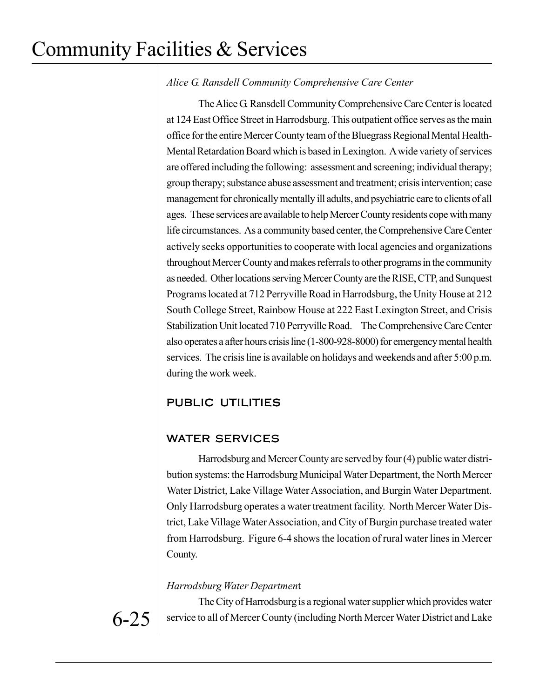## *Alice G. Ransdell Community Comprehensive Care Center*

The Alice G. Ransdell Community Comprehensive Care Center is located at 124 East Office Street in Harrodsburg. This outpatient office serves as the main office for the entire Mercer County team of the Bluegrass Regional Mental Health-Mental Retardation Board which is based in Lexington. A wide variety of services are offered including the following: assessment and screening; individual therapy; group therapy; substance abuse assessment and treatment; crisis intervention; case management for chronically mentally ill adults, and psychiatric care to clients of all ages. These services are available to help Mercer County residents cope with many life circumstances. As a community based center, the Comprehensive Care Center actively seeks opportunities to cooperate with local agencies and organizations throughout Mercer County and makes referrals to other programs in the community as needed. Other locations serving Mercer County are the RISE, CTP, and Sunquest Programs located at 712 Perryville Road in Harrodsburg, the Unity House at 212 South College Street, Rainbow House at 222 East Lexington Street, and Crisis Stabilization Unit located 710 Perryville Road. The Comprehensive Care Center also operates a after hours crisis line (1-800-928-8000) for emergency mental health services. The crisis line is available on holidays and weekends and after 5:00 p.m. during the work week.

## PUBLIC UTILITIES

## WATER SERVICES

Harrodsburg and Mercer County are served by four (4) public water distribution systems: the Harrodsburg Municipal Water Department, the North Mercer Water District, Lake Village Water Association, and Burgin Water Department. Only Harrodsburg operates a water treatment facility. North Mercer Water District, Lake Village Water Association, and City of Burgin purchase treated water from Harrodsburg. Figure 6-4 shows the location of rural water lines in Mercer County.

### *Harrodsburg Water Departmen*t

The City of Harrodsburg is a regional water supplier which provides water service to all of Mercer County (including North Mercer Water District and Lake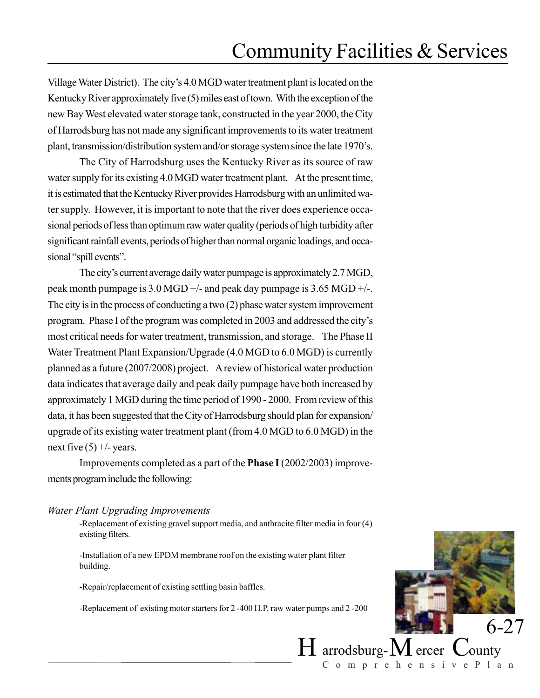Village Water District). The city's 4.0 MGD water treatment plant is located on the Kentucky River approximately five (5) miles east of town. With the exception of the new Bay West elevated water storage tank, constructed in the year 2000, the City of Harrodsburg has not made any significant improvements to its water treatment plant, transmission/distribution system and/or storage system since the late 1970's.

The City of Harrodsburg uses the Kentucky River as its source of raw water supply for its existing 4.0 MGD water treatment plant. At the present time, it is estimated that the Kentucky River provides Harrodsburg with an unlimited water supply. However, it is important to note that the river does experience occasional periods of less than optimum raw water quality (periods of high turbidity after significant rainfall events, periods of higher than normal organic loadings, and occasional "spill events".

The city's current average daily water pumpage is approximately 2.7 MGD, peak month pumpage is 3.0 MGD +/- and peak day pumpage is 3.65 MGD +/-. The city is in the process of conducting a two (2) phase water system improvement program. Phase I of the program was completed in 2003 and addressed the city's most critical needs for water treatment, transmission, and storage. The Phase II Water Treatment Plant Expansion/Upgrade (4.0 MGD to 6.0 MGD) is currently planned as a future (2007/2008) project. A review of historical water production data indicates that average daily and peak daily pumpage have both increased by approximately 1 MGD during the time period of 1990 - 2000. From review of this data, it has been suggested that the City of Harrodsburg should plan for expansion/ upgrade of its existing water treatment plant (from 4.0 MGD to 6.0 MGD) in the next five  $(5) +/-$  years.

Improvements completed as a part of the **Phase I** (2002/2003) improvements program include the following:

#### *Water Plant Upgrading Improvements*

-Replacement of existing gravel support media, and anthracite filter media in four (4) existing filters.

-Installation of a new EPDM membrane roof on the existing water plant filter building.

-Repair/replacement of existing settling basin baffles.

-Replacement of existing motor starters for 2 -400 H.P. raw water pumps and 2 -200

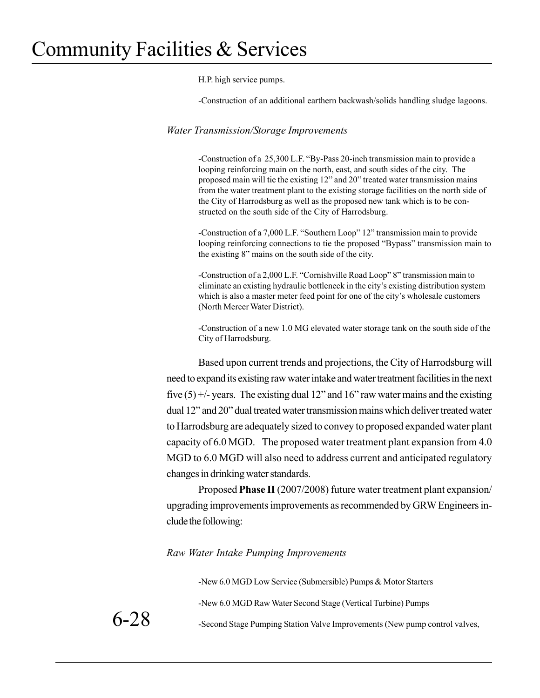H.P. high service pumps.

-Construction of an additional earthern backwash/solids handling sludge lagoons.

#### *Water Transmission/Storage Improvements*

-Construction of a 25,300 L.F. "By-Pass 20-inch transmission main to provide a looping reinforcing main on the north, east, and south sides of the city. The proposed main will tie the existing 12" and 20" treated water transmission mains from the water treatment plant to the existing storage facilities on the north side of the City of Harrodsburg as well as the proposed new tank which is to be constructed on the south side of the City of Harrodsburg.

-Construction of a 7,000 L.F. "Southern Loop" 12" transmission main to provide looping reinforcing connections to tie the proposed "Bypass" transmission main to the existing 8" mains on the south side of the city.

-Construction of a 2,000 L.F. "Cornishville Road Loop" 8" transmission main to eliminate an existing hydraulic bottleneck in the city's existing distribution system which is also a master meter feed point for one of the city's wholesale customers (North Mercer Water District).

-Construction of a new 1.0 MG elevated water storage tank on the south side of the City of Harrodsburg.

Based upon current trends and projections, the City of Harrodsburg will need to expand its existing raw water intake and water treatment facilities in the next five  $(5)$  +/- years. The existing dual 12" and 16" raw water mains and the existing dual 12" and 20" dual treated water transmission mains which deliver treated water to Harrodsburg are adequately sized to convey to proposed expanded water plant capacity of 6.0 MGD. The proposed water treatment plant expansion from 4.0 MGD to 6.0 MGD will also need to address current and anticipated regulatory changes in drinking water standards.

Proposed **Phase II** (2007/2008) future water treatment plant expansion/ upgrading improvements improvements as recommended by GRW Engineers include the following:

## *Raw Water Intake Pumping Improvements*

-New 6.0 MGD Low Service (Submersible) Pumps & Motor Starters

-New 6.0 MGD Raw Water Second Stage (Vertical Turbine) Pumps

 $6\n-28$  -Second Stage Pumping Station Valve Improvements (New pump control valves,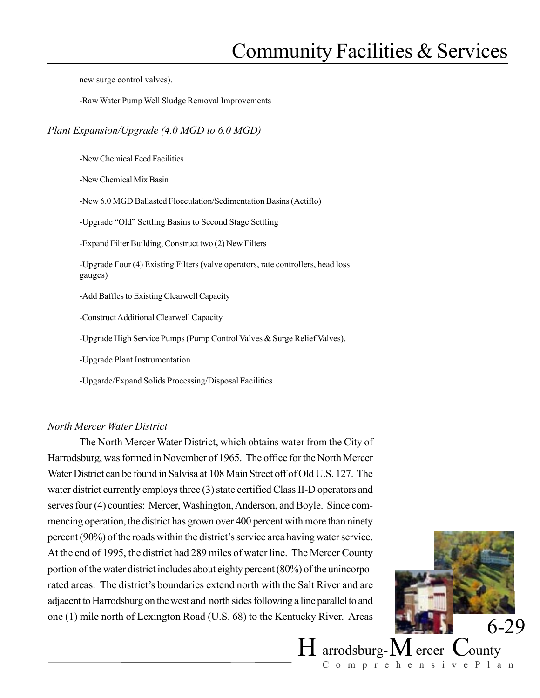new surge control valves).

-Raw Water Pump Well Sludge Removal Improvements

#### *Plant Expansion/Upgrade (4.0 MGD to 6.0 MGD)*

-New Chemical Feed Facilities

-New Chemical Mix Basin

-New 6.0 MGD Ballasted Flocculation/Sedimentation Basins (Actiflo)

-Upgrade "Old" Settling Basins to Second Stage Settling

-Expand Filter Building, Construct two (2) New Filters

-Upgrade Four (4) Existing Filters (valve operators, rate controllers, head loss gauges)

-Add Baffles to Existing Clearwell Capacity

-Construct Additional Clearwell Capacity

-Upgrade High Service Pumps (Pump Control Valves & Surge Relief Valves).

-Upgrade Plant Instrumentation

-Upgarde/Expand Solids Processing/Disposal Facilities

#### *North Mercer Water District*

The North Mercer Water District, which obtains water from the City of Harrodsburg, was formed in November of 1965. The office for the North Mercer Water District can be found in Salvisa at 108 Main Street off of Old U.S. 127. The water district currently employs three (3) state certified Class II-D operators and serves four (4) counties: Mercer, Washington, Anderson, and Boyle. Since commencing operation, the district has grown over 400 percent with more than ninety percent (90%) of the roads within the district's service area having water service. At the end of 1995, the district had 289 miles of water line. The Mercer County portion of the water district includes about eighty percent (80%) of the unincorporated areas. The district's boundaries extend north with the Salt River and are adjacent to Harrodsburg on the west and north sides following a line parallel to and one  $(1)$  mile north of Lexington Road  $(U.S. 68)$  to the Kentucky River. Areas

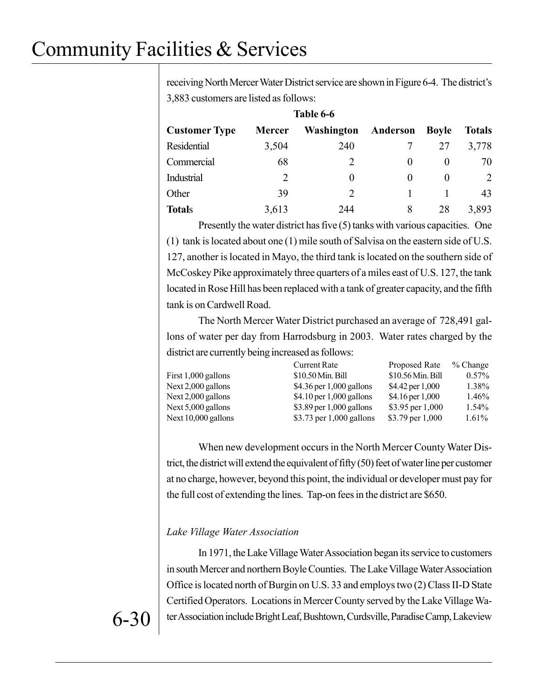receiving North Mercer Water District service are shown in Figure 6-4. The district's 3,883 customers are listed as follows:

| Table 6-6            |               |                             |          |              |                             |
|----------------------|---------------|-----------------------------|----------|--------------|-----------------------------|
| <b>Customer Type</b> | <b>Mercer</b> | Washington                  | Anderson | <b>Boyle</b> | <b>Totals</b>               |
| Residential          | 3,504         | 240                         |          | 27           | 3,778                       |
| Commercial           | 68            |                             | $\theta$ | $\theta$     | 70                          |
| Industrial           | 2             | 0                           | $\theta$ | $\theta$     | $\mathcal{D}_{\mathcal{L}}$ |
| Other                | 39            | $\mathcal{D}_{\mathcal{L}}$ |          |              | 43                          |
| <b>Totals</b>        | 3,613         | 244                         | 8        | 28           | 3,893                       |

Presently the water district has five (5) tanks with various capacities. One (1) tank is located about one (1) mile south of Salvisa on the eastern side of U.S. 127, another is located in Mayo, the third tank is located on the southern side of McCoskey Pike approximately three quarters of a miles east of U.S. 127, the tank located in Rose Hill has been replaced with a tank of greater capacity, and the fifth tank is on Cardwell Road.

The North Mercer Water District purchased an average of 728,491 gallons of water per day from Harrodsburg in 2003. Water rates charged by the district are currently being increased as follows:

 $D_{\text{reno}}$   $D_{\text{ato}}$   $D_{\text{ato}}$   $D_{\text{eno}}$ 

| Culture Kate               | TTODOSUT KAIU       | $\sqrt{0}$ Undige  |
|----------------------------|---------------------|--------------------|
| \$10.50 Min. Bill          | $$10.56$ Min. Bill  | $0.57\%$           |
| \$4.36 per $1,000$ gallons | \$4.42 per 1,000    | 1.38%              |
| \$4.10 per $1,000$ gallons | $$4.16$ per $1,000$ | 1.46%              |
| \$3.89 per 1,000 gallons   | \$3.95 per $1,000$  | 1.54%              |
| \$3.73 per $1,000$ gallons |                     | $1.61\%$           |
|                            |                     | \$3.79 per $1,000$ |

When new development occurs in the North Mercer County Water District, the district will extend the equivalent of fifty (50) feet of water line per customer at no charge, however, beyond this point, the individual or developer must pay for the full cost of extending the lines. Tap-on fees in the district are \$650.

### *Lake Village Water Association*

In 1971, the Lake Village Water Association began its service to customers in south Mercer and northern Boyle Counties. The Lake Village Water Association Office is located north of Burgin on U.S. 33 and employs two (2) Class II-D State Certified Operators. Locations in Mercer County served by the Lake Village Wa- $6-30$  | ter Association include Bright Leaf, Bushtown, Curdsville, Paradise Camp, Lakeview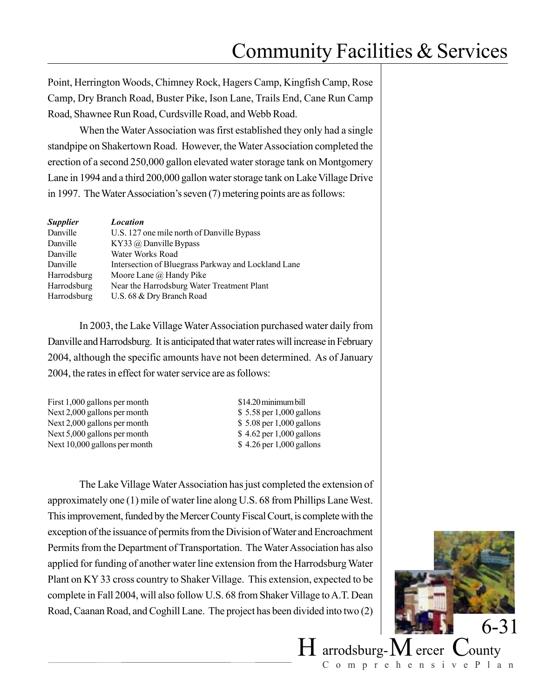Point, Herrington Woods, Chimney Rock, Hagers Camp, Kingfish Camp, Rose Camp, Dry Branch Road, Buster Pike, Ison Lane, Trails End, Cane Run Camp Road, Shawnee Run Road, Curdsville Road, and Webb Road.

When the Water Association was first established they only had a single standpipe on Shakertown Road. However, the Water Association completed the erection of a second 250,000 gallon elevated water storage tank on Montgomery Lane in 1994 and a third 200,000 gallon water storage tank on Lake Village Drive in 1997. The Water Association's seven (7) metering points are as follows:

| <b>Supplier</b>    | <b>Location</b>                                     |
|--------------------|-----------------------------------------------------|
| Danville           | U.S. 127 one mile north of Danville Bypass          |
| Danville           | KY33 $\omega$ Danville Bypass                       |
| Danville           | Water Works Road                                    |
| Danville           | Intersection of Bluegrass Parkway and Lockland Lane |
| <b>Harrodsburg</b> | Moore Lane @ Handy Pike                             |
| Harrodsburg        | Near the Harrodsburg Water Treatment Plant          |
| Harrodsburg        | U.S. 68 & Dry Branch Road                           |

In 2003, the Lake Village Water Association purchased water daily from Danville and Harrodsburg. It is anticipated that water rates will increase in February 2004, although the specific amounts have not been determined. As of January 2004, the rates in effect for water service are as follows:

| First 1,000 gallons per month |  |
|-------------------------------|--|
| Next 2,000 gallons per month  |  |
| Next 2,000 gallons per month  |  |
| Next 5,000 gallons per month  |  |
| Next 10,000 gallons per month |  |

\$14.20 minimum bill  $$5.58$  per 1,000 gallons  $$5.08$  per 1,000 gallons  $$4.62$  per 1,000 gallons  $\text{\$ }4.26 \,\text{per}1,000 \,\text{gallons}$ 

The Lake Village Water Association has just completed the extension of approximately one (1) mile of water line along U.S. 68 from Phillips Lane West. This improvement, funded by the Mercer County Fiscal Court, is complete with the exception of the issuance of permits from the Division of Water and Encroachment Permits from the Department of Transportation. The Water Association has also applied for funding of another water line extension from the Harrodsburg Water Plant on KY 33 cross country to Shaker Village. This extension, expected to be complete in Fall 2004, will also follow U.S. 68 from Shaker Village to A.T. Dean Road, Caanan Road, and Coghill Lane. The project has been divided into two (2)

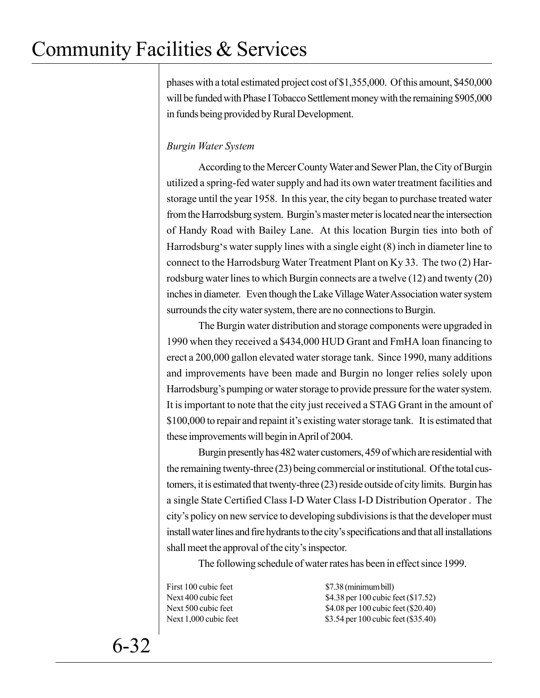phases with a total estimated project cost of \$1,355,000. Of this amount, \$450,000 will be funded with Phase I Tobacco Settlement money with the remaining \$905,000 in funds being provided by Rural Development.

## *Burgin Water System*

According to the Mercer County Water and Sewer Plan, the City of Burgin utilized a spring-fed water supply and had its own water treatment facilities and storage until the year 1958. In this year, the city began to purchase treated water from the Harrodsburg system. Burgin's master meter is located near the intersection of Handy Road with Bailey Lane. At this location Burgin ties into both of Harrodsburg's water supply lines with a single eight (8) inch in diameter line to connect to the Harrodsburg Water Treatment Plant on Ky 33. The two (2) Harrodsburg water lines to which Burgin connects are a twelve (12) and twenty (20) inches in diameter. Even though the Lake Village Water Association water system surrounds the city water system, there are no connections to Burgin.

The Burgin water distribution and storage components were upgraded in 1990 when they received a \$434,000 HUD Grant and FmHA loan financing to erect a 200,000 gallon elevated water storage tank. Since 1990, many additions and improvements have been made and Burgin no longer relies solely upon Harrodsburg's pumping or water storage to provide pressure for the water system. It is important to note that the city just received a STAG Grant in the amount of \$100,000 to repair and repaint it's existing water storage tank. It is estimated that these improvements will begin in April of 2004.

Burgin presently has 482 water customers, 459 of which are residential with the remaining twenty-three (23) being commercial or institutional. Of the total customers, it is estimated that twenty-three (23) reside outside of city limits. Burgin has a single State Certified Class I-D Water Class I-D Distribution Operator . The city's policy on new service to developing subdivisions is that the developer must install water lines and fire hydrants to the city's specifications and that all installations shall meet the approval of the city's inspector.

The following schedule of water rates has been in effect since 1999.

First 100 cubic feet \$7.38 (minimum bill) Next 400 cubic feet \$4.38 per 100 cubic feet (\$17.52) Next 500 cubic feet \$4.08 per 100 cubic feet (\$20.40) Next 1,000 cubic feet \$3.54 per 100 cubic feet (\$35.40)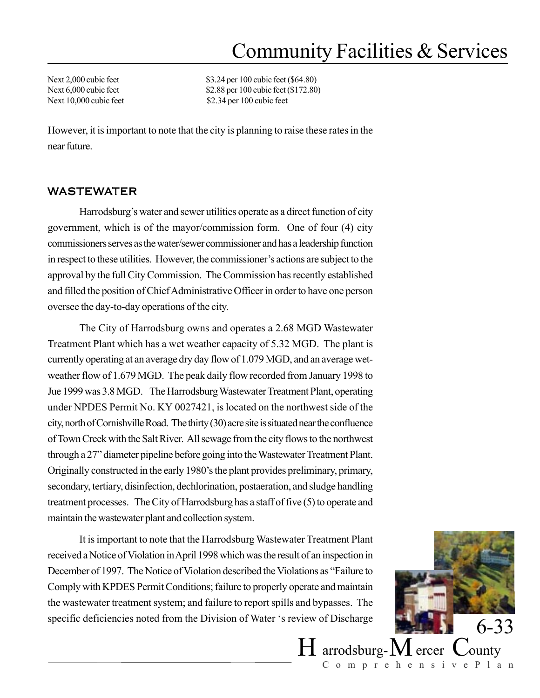Next 2,000 cubic feet \$3.24 per 100 cubic feet (\$64.80) Next 6,000 cubic feet \$2.88 per 100 cubic feet (\$172.80) Next 10,000 cubic feet \$2.34 per 100 cubic feet

However, it is important to note that the city is planning to raise these rates in the near future.

### WASTEWATER

Harrodsburg's water and sewer utilities operate as a direct function of city government, which is of the mayor/commission form. One of four (4) city commissioners serves as the water/sewer commissioner and has a leadership function in respect to these utilities. However, the commissioner's actions are subject to the approval by the full City Commission. The Commission has recently established and filled the position of Chief Administrative Officer in order to have one person oversee the day-to-day operations of the city.

The City of Harrodsburg owns and operates a 2.68 MGD Wastewater Treatment Plant which has a wet weather capacity of 5.32 MGD. The plant is currently operating at an average dry day flow of 1.079 MGD, and an average wetweather flow of 1.679 MGD. The peak daily flow recorded from January 1998 to Jue 1999 was 3.8 MGD. The Harrodsburg Wastewater Treatment Plant, operating under NPDES Permit No. KY 0027421, is located on the northwest side of the city, north of Cornishville Road. The thirty (30) acre site is situated near the confluence of Town Creek with the Salt River. All sewage from the city flows to the northwest through a 27" diameter pipeline before going into the Wastewater Treatment Plant. Originally constructed in the early 1980's the plant provides preliminary, primary, secondary, tertiary, disinfection, dechlorination, postaeration, and sludge handling treatment processes. The City of Harrodsburg has a staff of five (5) to operate and maintain the wastewater plant and collection system.

It is important to note that the Harrodsburg Wastewater Treatment Plant received a Notice of Violation in April 1998 which was the result of an inspection in December of 1997. The Notice of Violation described the Violations as "Failure to Comply with KPDES Permit Conditions; failure to properly operate and maintain the wastewater treatment system; and failure to report spills and bypasses. The specific deficiencies noted from the Division of Water 's review of Discharge 6-33

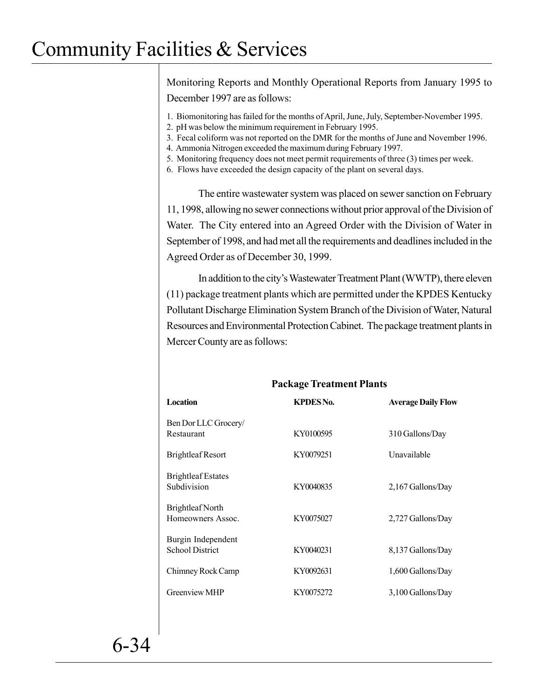Monitoring Reports and Monthly Operational Reports from January 1995 to December 1997 are as follows:

- 1. Biomonitoring has failed for the months of April, June, July, September-November 1995.
- 2. pH was below the minimum requirement in February 1995.
- 3. Fecal coliform was not reported on the DMR for the months of June and November 1996.
- 4. Ammonia Nitrogen exceeded the maximum during February 1997.
- 5. Monitoring frequency does not meet permit requirements of three (3) times per week.
- 6. Flows have exceeded the design capacity of the plant on several days.

The entire wastewater system was placed on sewer sanction on February 11, 1998, allowing no sewer connections without prior approval of the Division of Water. The City entered into an Agreed Order with the Division of Water in September of 1998, and had met all the requirements and deadlines included in the Agreed Order as of December 30, 1999.

In addition to the city's Wastewater Treatment Plant (WWTP), there eleven (11) package treatment plants which are permitted under the KPDES Kentucky Pollutant Discharge Elimination System Branch of the Division of Water, Natural Resources and Environmental Protection Cabinet. The package treatment plants in Mercer County are as follows:

**Package Treatment Plants**

|                                              | -               |                           |
|----------------------------------------------|-----------------|---------------------------|
| Location                                     | <b>KPDESNo.</b> | <b>Average Daily Flow</b> |
| Ben Dor LLC Grocery/<br>Restaurant           | KY0100595       | 310 Gallons/Day           |
| <b>Brightleaf Resort</b>                     | KY0079251       | Unavailable               |
| <b>Brightleaf Estates</b><br>Subdivision     | KY0040835       | 2,167 Gallons/Day         |
| Brightleaf North<br>Homeowners Assoc.        | KY0075027       | 2,727 Gallons/Day         |
| Burgin Independent<br><b>School District</b> | KY0040231       | 8,137 Gallons/Day         |
| Chimney Rock Camp                            | KY0092631       | 1,600 Gallons/Day         |
| <b>Greenview MHP</b>                         | KY0075272       | 3,100 Gallons/Day         |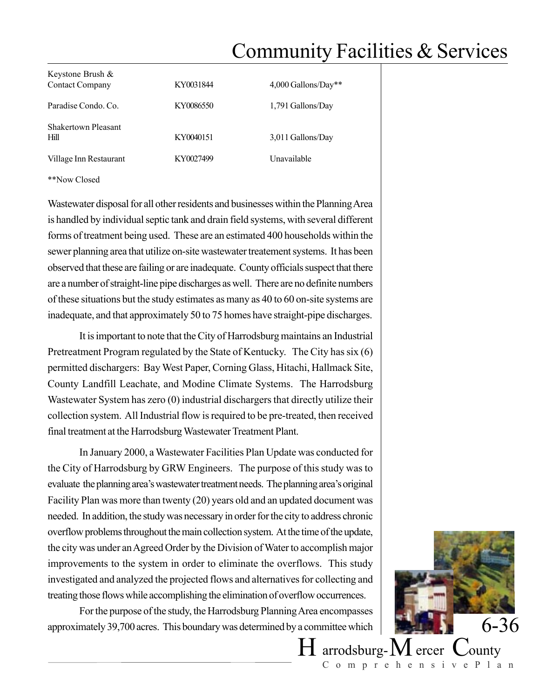| Keystone Brush $\&$<br><b>Contact Company</b> | KY0031844 | $4,000$ Gallons/Day** |
|-----------------------------------------------|-----------|-----------------------|
| Paradise Condo. Co.                           | KY0086550 | 1,791 Gallons/Day     |
| Shakertown Pleasant<br><b>Hill</b>            | KY0040151 | 3,011 Gallons/Day     |
| Village Inn Restaurant                        | KY0027499 | Unavailable           |

\*\*Now Closed

Wastewater disposal for all other residents and businesses within the Planning Area is handled by individual septic tank and drain field systems, with several different forms of treatment being used. These are an estimated 400 households within the sewer planning area that utilize on-site wastewater treatement systems. It has been observed that these are failing or are inadequate. County officials suspect that there are a number of straight-line pipe discharges as well. There are no definite numbers of these situations but the study estimates as many as 40 to 60 on-site systems are inadequate, and that approximately 50 to 75 homes have straight-pipe discharges.

It is important to note that the City of Harrodsburg maintains an Industrial Pretreatment Program regulated by the State of Kentucky. The City has six (6) permitted dischargers: Bay West Paper, Corning Glass, Hitachi, Hallmack Site, County Landfill Leachate, and Modine Climate Systems. The Harrodsburg Wastewater System has zero (0) industrial dischargers that directly utilize their collection system. All Industrial flow is required to be pre-treated, then received final treatment at the Harrodsburg Wastewater Treatment Plant.

In January 2000, a Wastewater Facilities Plan Update was conducted for the City of Harrodsburg by GRW Engineers. The purpose of this study was to evaluate the planning area's wastewater treatment needs. The planning area's original Facility Plan was more than twenty (20) years old and an updated document was needed. In addition, the study was necessary in order for the city to address chronic overflow problems throughout the main collection system. At the time of the update, the city was under an Agreed Order by the Division of Water to accomplish major improvements to the system in order to eliminate the overflows. This study investigated and analyzed the projected flows and alternatives for collecting and treating those flows while accomplishing the elimination of overflow occurrences.

For the purpose of the study, the Harrodsburg Planning Area encompasses approximately 39,700 acres. This boundary was determined by a committee which  $6-36$ 



 $H$  arrodsburg- $M$  ercer  $C$ ounty ComprehensivePlan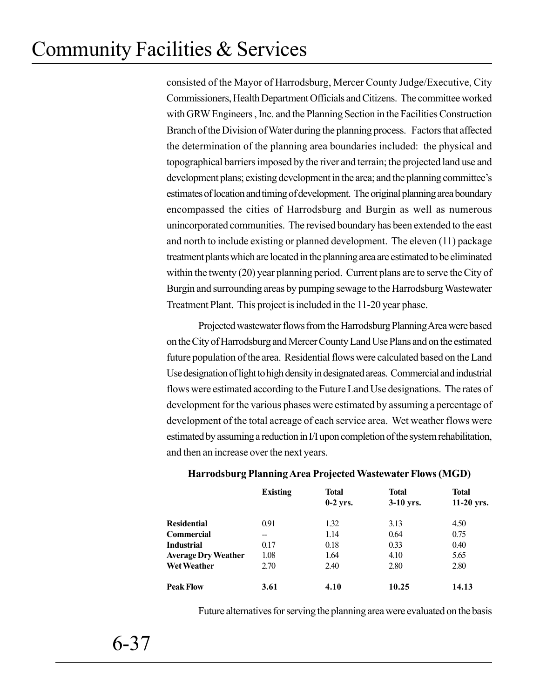consisted of the Mayor of Harrodsburg, Mercer County Judge/Executive, City Commissioners, Health Department Officials and Citizens. The committee worked with GRW Engineers , Inc. and the Planning Section in the Facilities Construction Branch of the Division of Water during the planning process. Factors that affected the determination of the planning area boundaries included: the physical and topographical barriers imposed by the river and terrain; the projected land use and development plans; existing development in the area; and the planning committee's estimates of location and timing of development. The original planning area boundary encompassed the cities of Harrodsburg and Burgin as well as numerous unincorporated communities. The revised boundary has been extended to the east and north to include existing or planned development. The eleven (11) package treatment plants which are located in the planning area are estimated to be eliminated within the twenty (20) year planning period. Current plans are to serve the City of Burgin and surrounding areas by pumping sewage to the Harrodsburg Wastewater Treatment Plant. This project is included in the 11-20 year phase.

Projected wastewater flows from the Harrodsburg Planning Area were based on the City of Harrodsburg and Mercer County Land Use Plans and on the estimated future population of the area. Residential flows were calculated based on the Land Use designation of light to high density in designated areas. Commercial and industrial flows were estimated according to the Future Land Use designations. The rates of development for the various phases were estimated by assuming a percentage of development of the total acreage of each service area. Wet weather flows were estimated by assuming a reduction in I/I upon completion of the system rehabilitation, and then an increase over the next years.

|                            | <b>Existing</b> | <b>Total</b><br>$0-2$ yrs. | <b>Total</b><br>$3-10$ yrs. | <b>Total</b><br>$11-20$ yrs. |
|----------------------------|-----------------|----------------------------|-----------------------------|------------------------------|
| <b>Residential</b>         | 0.91            | 1.32                       | 3.13                        | 4.50                         |
| <b>Commercial</b>          |                 | 1.14                       | 0.64                        | 0.75                         |
| <b>Industrial</b>          | 0.17            | 0.18                       | 0.33                        | 0.40                         |
| <b>Average Dry Weather</b> | 1.08            | 1.64                       | 4.10                        | 5.65                         |
| <b>Wet Weather</b>         | 2.70            | 2.40                       | 2.80                        | 2.80                         |
| <b>Peak Flow</b>           | 3.61            | 4.10                       | 10.25                       | 14.13                        |

## **Harrodsburg Planning Area Projected Wastewater Flows (MGD)**

Future alternatives for serving the planning area were evaluated on the basis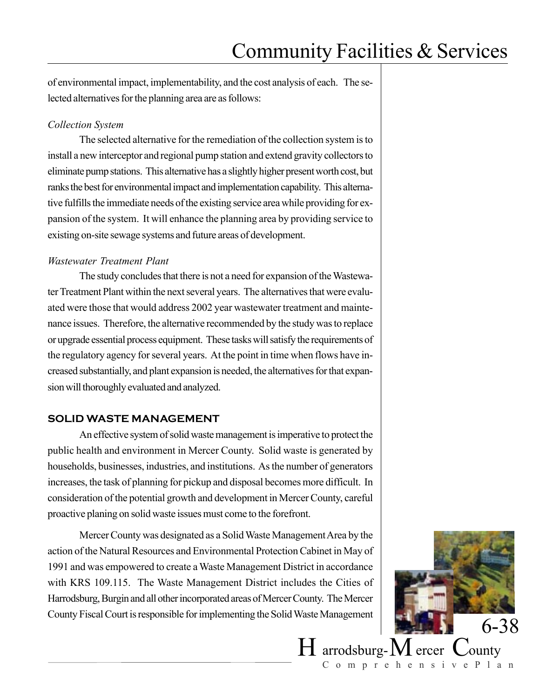of environmental impact, implementability, and the cost analysis of each. The selected alternatives for the planning area are as follows:

#### *Collection System*

The selected alternative for the remediation of the collection system is to install a new interceptor and regional pump station and extend gravity collectors to eliminate pump stations. This alternative has a slightly higher present worth cost, but ranks the best for environmental impact and implementation capability. This alternative fulfills the immediate needs of the existing service area while providing for expansion of the system. It will enhance the planning area by providing service to existing on-site sewage systems and future areas of development.

#### *Wastewater Treatment Plant*

The study concludes that there is not a need for expansion of the Wastewater Treatment Plant within the next several years. The alternatives that were evaluated were those that would address 2002 year wastewater treatment and maintenance issues. Therefore, the alternative recommended by the study was to replace or upgrade essential process equipment. These tasks will satisfy the requirements of the regulatory agency for several years. At the point in time when flows have increased substantially, and plant expansion is needed, the alternatives for that expansion will thoroughly evaluated and analyzed.

### **SOLID WASTE MANAGEMENT**

An effective system of solid waste management is imperative to protect the public health and environment in Mercer County. Solid waste is generated by households, businesses, industries, and institutions. As the number of generators increases, the task of planning for pickup and disposal becomes more difficult. In consideration of the potential growth and development in Mercer County, careful proactive planing on solid waste issues must come to the forefront.

Mercer County was designated as a Solid Waste Management Area by the action of the Natural Resources and Environmental Protection Cabinet in May of 1991 and was empowered to create a Waste Management District in accordance with KRS 109.115. The Waste Management District includes the Cities of Harrodsburg, Burgin and all other incorporated areas of Mercer County. The Mercer County Fiscal Court is responsible for implementing the Solid Waste Management